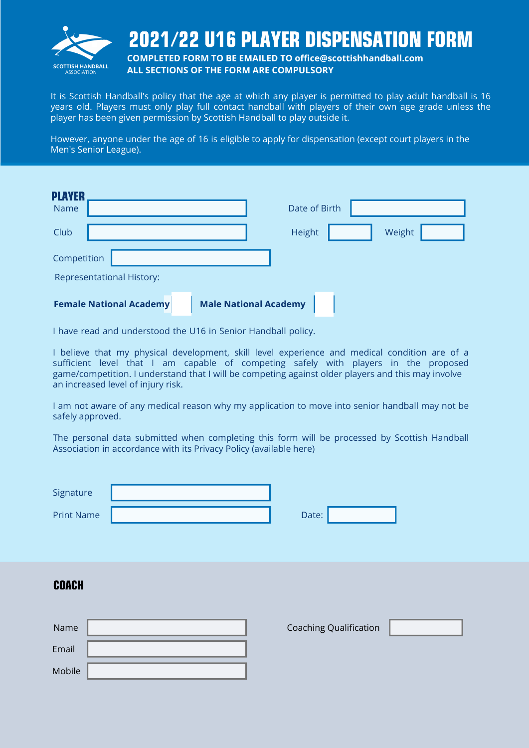

## 2021/22 U16 PLAYER DISPENSATION FORM

**COMPLETED FORM TO BE EMAILED TO office@scottishhandball.com ALL SECTIONS OF THE FORM ARE COMPULSORY**

It is Scottish Handball's policy that the age at which any player is permitted to play adult handball is 16 years old. Players must only play full contact handball with players of their own age grade unless the player has been given permission by Scottish Handball to play outside it.

However, anyone under the age of 16 is eligible to apply for dispensation (except court players in the Men's Senior League).

| <b>PLAYER</b><br><b>Name</b> |                                  |                              | Date of Birth |        |  |
|------------------------------|----------------------------------|------------------------------|---------------|--------|--|
| Club                         |                                  |                              | Height        | Weight |  |
| Competition                  |                                  |                              |               |        |  |
|                              | <b>Representational History:</b> |                              |               |        |  |
|                              | <b>Female National Academy</b>   | <b>Male National Academy</b> |               |        |  |

I have read and understood the [U16 in Senior Handball policy](https://handball.scot/site/assets/files/1937/under_16_player_in_senior_handball.pdf).

I believe that my physical development, skill level experience and medical condition are of a sufficient level that I am capable of competing safely with players in the proposed game/competition. I understand that I will be competing against older players and this may involve an increased level of injury risk.

I am not aware of any medical reason why my application to move into senior handball may not be safely approved.

The personal data submitted when completing this form will be processed by Scottish Handball Association in accordance with its Privacy Policy (available [here\)](https://handball.scot/site/assets/files/1596/privacy_notice-1.pdf)

| Signature         |       |
|-------------------|-------|
| <b>Print Name</b> | Date: |

| Date: |  |
|-------|--|
|       |  |

#### COACH

| Name   |  |
|--------|--|
| Email  |  |
| Mobile |  |

Coaching Qualification

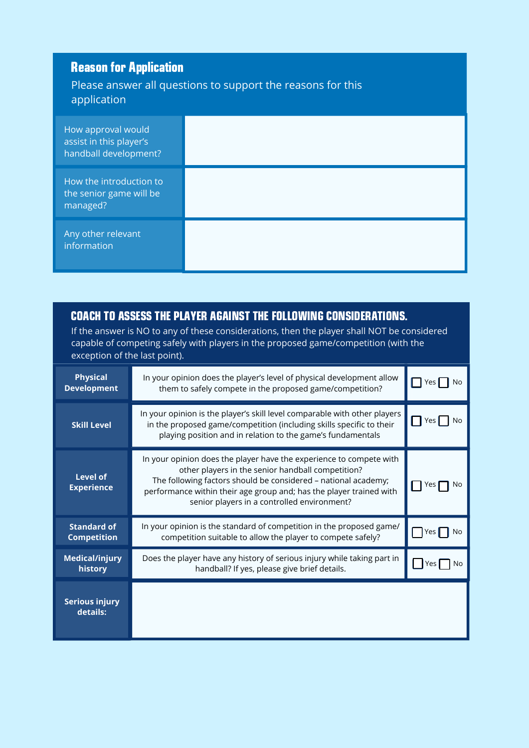| <b>Reason for Application</b><br>Please answer all questions to support the reasons for this<br>application |  |  |  |  |
|-------------------------------------------------------------------------------------------------------------|--|--|--|--|
| How approval would<br>assist in this player's<br>handball development?                                      |  |  |  |  |
| How the introduction to<br>the senior game will be<br>managed?                                              |  |  |  |  |
| Any other relevant<br>information                                                                           |  |  |  |  |

#### COACH TO ASSESS THE PLAYER AGAINST THE FOLLOWING CONSIDERATIONS.

If the answer is NO to any of these considerations, then the player shall NOT be considered capable of competing safely with players in the proposed game/competition (with the exception of the last point).

| <b>Physical</b><br><b>Development</b>    | In your opinion does the player's level of physical development allow<br>them to safely compete in the proposed game/competition?                                                                                                                                                                                | No<br>Yes |
|------------------------------------------|------------------------------------------------------------------------------------------------------------------------------------------------------------------------------------------------------------------------------------------------------------------------------------------------------------------|-----------|
| <b>Skill Level</b>                       | In your opinion is the player's skill level comparable with other players<br>in the proposed game/competition (including skills specific to their<br>playing position and in relation to the game's fundamentals                                                                                                 | Yes       |
| <b>Level of</b><br><b>Experience</b>     | In your opinion does the player have the experience to compete with<br>other players in the senior handball competition?<br>The following factors should be considered - national academy;<br>performance within their age group and; has the player trained with<br>senior players in a controlled environment? | Yes       |
| <b>Standard of</b><br><b>Competition</b> | In your opinion is the standard of competition in the proposed game/<br>competition suitable to allow the player to compete safely?                                                                                                                                                                              | Yes       |
| <b>Medical/injury</b><br>history         | Does the player have any history of serious injury while taking part in<br>handball? If yes, please give brief details.                                                                                                                                                                                          | No<br>Yes |
| <b>Serious injury</b><br>details:        |                                                                                                                                                                                                                                                                                                                  |           |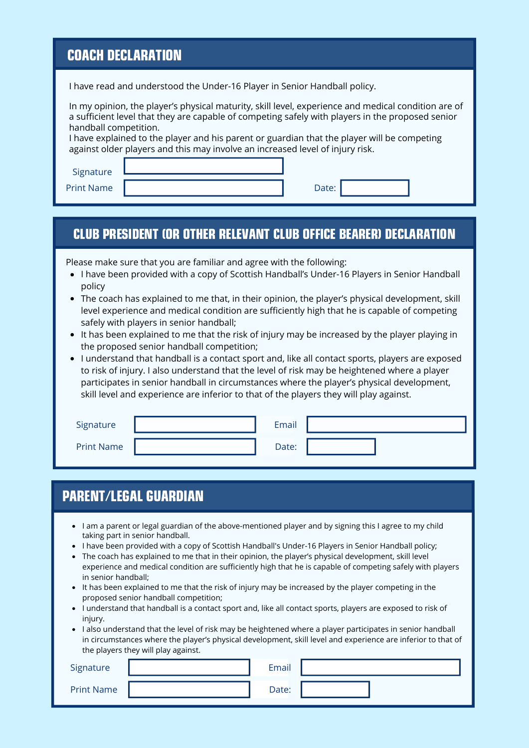### COACH DECLARATION

I have read and understood the Under-16 Player in Senior Handball policy.

| In my opinion, the player's physical maturity, skill level, experience and medical condition are of |
|-----------------------------------------------------------------------------------------------------|
| a sufficient level that they are capable of competing safely with players in the proposed senior    |
| handball competition.                                                                               |

I have explained to the player and his parent or guardian that the player will be competing against older players and this may involve an increased level of injury risk.

Signature

Print Name **Date: Date: Date: Date: Date: Date: Date: Date: Date: Date: Date: Date: Date: Date: Date: Date: Date: Date: Date: Date: Date: Date: Date: Date: Date: Date: Da** 

#### CLUB PRESIDENT (OR OTHER RELEVANT CLUB OFFICE BEARER) DECLARATION

Please make sure that you are familiar and agree with the following:

- I have been provided with a copy of Scottish Handball's Under-16 Players in Senior Handball policy
- The coach has explained to me that, in their opinion, the player's physical development, skill level experience and medical condition are sufficiently high that he is capable of competing safely with players in senior handball;
- It has been explained to me that the risk of injury may be increased by the player playing in the proposed senior handball competition;
- I understand that handball is a contact sport and, like all contact sports, players are exposed to risk of injury. I also understand that the level of risk may be heightened where a player participates in senior handball in circumstances where the player's physical development, skill level and experience are inferior to that of the players they will play against.

| Signature         | Email |  |
|-------------------|-------|--|
| <b>Print Name</b> | Date: |  |

### PARENT/LEGAL GUARDIAN

- I am a parent or legal guardian of the above-mentioned player and by signing this I agree to my child taking part in senior handball.
- I have been provided with a copy of Scottish Handball's Under-16 Players in Senior Handball policy;
- The coach has explained to me that in their opinion, the player's physical development, skill level experience and medical condition are sufficiently high that he is capable of competing safely with players in senior handball;
- It has been explained to me that the risk of injury may be increased by the player competing in the proposed senior handball competition;
- I understand that handball is a contact sport and, like all contact sports, players are exposed to risk of injury.
- I also understand that the level of risk may be heightened where a player participates in senior handball in circumstances where the player's physical development, skill level and experience are inferior to that of the players they will play against.

| Signature         | Email |  |
|-------------------|-------|--|
| <b>Print Name</b> | Date: |  |